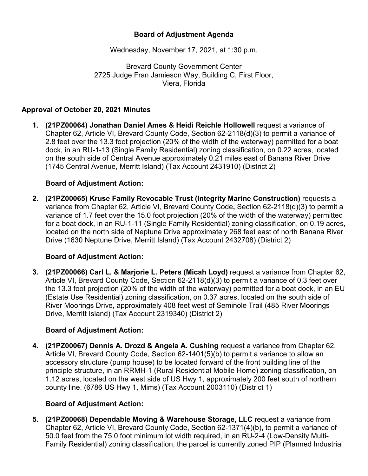### **Board of Adjustment Agenda**

Wednesday, November 17, 2021, at 1:30 p.m.

Brevard County Government Center 2725 Judge Fran Jamieson Way, Building C, First Floor, Viera, Florida

### **Approval of October 20, 2021 Minutes**

**1. (21PZ00064) Jonathan Daniel Ames & Heidi Reichle Hollowell** request a variance of Chapter 62, Article VI, Brevard County Code, Section 62-2118(d)(3) to permit a variance of 2.8 feet over the 13.3 foot projection (20% of the width of the waterway) permitted for a boat dock, in an RU-1-13 (Single Family Residential) zoning classification, on 0.22 acres, located on the south side of Central Avenue approximately 0.21 miles east of Banana River Drive (1745 Central Avenue, Merritt Island) (Tax Account 2431910) (District 2)

#### **Board of Adjustment Action:**

**2. (21PZ00065) Kruse Family Revocable Trust (Integrity Marine Construction)** requests a variance from Chapter 62, Article VI, Brevard County Code**,** Section 62-2118(d)(3) to permit a variance of 1.7 feet over the 15.0 foot projection (20% of the width of the waterway) permitted for a boat dock, in an RU-1-11 (Single Family Residential) zoning classification, on 0.19 acres, located on the north side of Neptune Drive approximately 268 feet east of north Banana River Drive (1630 Neptune Drive, Merritt Island) (Tax Account 2432708) (District 2)

### **Board of Adjustment Action:**

**3. (21PZ00066) Carl L. & Marjorie L. Peters (Micah Loyd)** request a variance from Chapter 62, Article VI, Brevard County Code, Section 62-2118(d)(3) to permit a variance of 0.3 feet over the 13.3 foot projection (20% of the width of the waterway) permitted for a boat dock, in an EU (Estate Use Residential) zoning classification, on 0.37 acres, located on the south side of River Moorings Drive, approximately 408 feet west of Seminole Trail (485 River Moorings Drive, Merritt Island) (Tax Account 2319340) (District 2)

#### **Board of Adjustment Action:**

**4. (21PZ00067) Dennis A. Drozd & Angela A. Cushing** request a variance from Chapter 62, Article VI, Brevard County Code, Section 62-1401(5)(b) to permit a variance to allow an accessory structure (pump house) to be located forward of the front building line of the principle structure, in an RRMH-1 (Rural Residential Mobile Home) zoning classification, on 1.12 acres, located on the west side of US Hwy 1, approximately 200 feet south of northern county line. (6786 US Hwy 1, Mims) (Tax Account 2003110) (District 1)

#### **Board of Adjustment Action:**

**5. (21PZ00068) Dependable Moving & Warehouse Storage, LLC** request a variance from Chapter 62, Article VI, Brevard County Code, Section 62-1371(4)(b), to permit a variance of 50.0 feet from the 75.0 foot minimum lot width required, in an RU-2-4 (Low-Density Multi-Family Residential) zoning classification, the parcel is currently zoned PIP (Planned Industrial